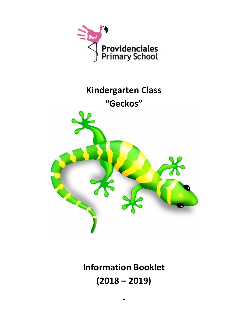

**Kindergarten Class**

**"Geckos"**



**Information Booklet (2018 – 2019)**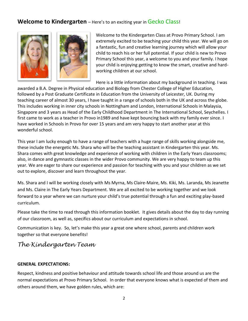# **Welcome to Kindergarten** – Here's to an exciting year in Gecko Class!





Welcome to the Kindergarten Class at Provo Primary School. I am extremely excited to be teaching your child this year. We will go on a fantastic, fun and creative learning journey which will allow your child to reach his or her full potential. If your child is new to Provo Primary School this year, a welcome to you and your family. I hope your child is enjoying getting to know the smart, creative and hardworking children at our school.

Here is a little information about my background in teaching. I was

awarded a B.A. Degree in Physical education and Biology from Chester College of Higher Education, followed by a Post Graduate Certificate in Education from the University of Leicester, UK. During my teaching career of almost 30 years, I have taught in a range of schools both in the UK and across the globe. This includes working in inner city schools in Nottingham and London, International Schools in Malaysia, Singapore and 3 years as Head of the Early Childhood Department in The International School, Seychelles. I first came to work as a teacher in Provo in1989 and have kept bouncing back with my family ever since. I have worked in Schools in Provo for over 15 years and am very happy to start another year at this wonderful school.

This year I am lucky enough to have a range of teachers with a huge range of skills working alongside me, these include the energetic Ms. Shara who will be the teaching assistant in Kindergarten this year. Ms. Shara comes with great knowledge and experience of working with children in the Early Years classrooms; also, in dance and gymnastic classes in the wider Provo community. We are very happy to team up this year. We are eager to share our experience and passion for teaching with you and your children as we set out to explore, discover and learn throughout the year.

Ms. Shara and I will be working closely with Ms Myrna, Ms Claire-Maire, Ms. Kiki, Ms. Laranda, Ms Jeanette and Ms. Claire in The Early Years Department. We are all excited to be working together and we look forward to a year where we can nurture your child's true potential through a fun and exciting play-based curriculum.

Please take the time to read through this information booklet. It gives details about the day to day running of our classroom, as well as, specifics about our curriculum and expectations in school.

Communication is key. So, let's make this year a great one where school, parents and children work together so that everyone benefits!

# *The Kindergarten Team*

### **GENERAL EXPECTATIONS:**

Respect, kindness and positive behaviour and attitude towards school life and those around us are the normal expectations at Provo Primary School. In order that everyone knows what is expected of them and others around them, we have golden rules, which are: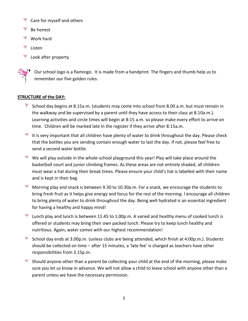- <sup>1</sup> Care for myself and others
- Be honest
- **Work hard**
- Listen
- Look after property



Our school logo is a flamingo. It is made from a handprint. The fingers and thumb help us to remember our five golden rules.

# **STRUCTURE of the DAY:**

- $\mathbb{R}$  School day begins at 8.15a.m. (students may come into school from 8.00 a.m. but must remain in the walkway and be supervised by a parent until they have access to their class at 8.10a.m.). Learning activities and circle times will begin at 8:15 a.m. so please make every effort to arrive on time. Children will be marked late in the register if they arrive after 8:15a.m.
- It is very important that all children have plenty of water to drink throughout the day. Please check that the bottles you are sending contain enough water to last the day. If not, please feel free to send a second water bottle.
- We will play outside in the whole-school playground this year! Play will take place around the basketball court and junior climbing frames. As these areas are not entirely shaded, all children must wear a hat during their break times. Please ensure your child's hat is labelled with their name and is kept in their bag.
- $\frac{1}{\sqrt{2}}\sum_{i=1}^{n} \frac{1}{\sqrt{2}}\sum_{i=1}^{n} \frac{1}{\sqrt{2}}\sum_{i=1}^{n} \frac{1}{\sqrt{2}}\sum_{i=1}^{n} \frac{1}{\sqrt{2}}\sum_{i=1}^{n} \frac{1}{\sqrt{2}}\sum_{i=1}^{n} \frac{1}{\sqrt{2}}\sum_{i=1}^{n} \frac{1}{\sqrt{2}}\sum_{i=1}^{n} \frac{1}{\sqrt{2}}\sum_{i=1}^{n} \frac{1}{\sqrt{2}}\sum_{i=1}^{n} \frac{1}{\sqrt{2}}\sum_{i=1}^{n}$ Morning play and snack is between 9.30 to 10.30a.m. For a snack, we encourage the students to bring fresh fruit as it helps give energy and focus for the rest of the morning. I encourage all children to bring plenty of water to drink throughout the day. Being well hydrated is an essential ingredient for having a healthy and happy mind!
- Lunch play and lunch is between 11.45 to 1.00p.m. A varied and healthy menu of cooked lunch is offered or students may bring their own packed lunch. Please try to keep lunch healthy and nutritious. Again, water comes with our highest recommendation!
- School day ends at 3.00p.m. (unless clubs are being attended, which finish at 4:00p.m.). Students should be collected on time – after 15 minutes, a 'late fee' is charged as teachers have other responsibilities from 3.15p.m.
- Should anyone other than a parent be collecting your child at the end of the morning, please make sure you let us know in advance. We will not allow a child to leave school with anyone other than a parent unless we have the necessary permission.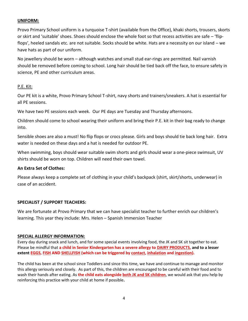#### **UNIFORM:**

Provo Primary School uniform is a turquoise T-shirt (available from the Office), khaki shorts, trousers, skorts or skirt and 'suitable' shoes. Shoes should enclose the whole foot so that recess activities are safe – 'flipflops', heeled sandals etc. are not suitable. Socks should be white. Hats are a necessity on our island – we have hats as part of our uniform.

No jewellery should be worn – although watches and small stud ear-rings are permitted. Nail varnish should be removed before coming to school. Long hair should be tied back off the face, to ensure safety in science, PE and other curriculum areas.

#### P.E. Kit:

Our PE kit is a white, Provo Primary School T-shirt, navy shorts and trainers/sneakers. A hat is essential for all PE sessions.

We have two PE sessions each week. Our PE days are Tuesday and Thursday afternoons.

Children should come to school wearing their uniform and bring their P.E. kit in their bag ready to change into.

Sensible shoes are also a must! No flip flops or crocs please. Girls and boys should tie back long hair. Extra water is needed on these days and a hat is needed for outdoor PE.

When swimming, boys should wear suitable swim shorts and girls should wear a one-piece swimsuit, UV shirts should be worn on top. Children will need their own towel.

#### **An Extra Set of Clothes:**

Please always keep a complete set of clothing in your child's backpack (shirt, skirt/shorts, underwear) in case of an accident.

#### **SPECIALIST / SUPPORT TEACHERS:**

We are fortunate at Provo Primary that we can have specialist teacher to further enrich our children's learning. This year they include: Mrs. Helen – Spanish Immersion Teacher

#### **SPECIAL ALLERGY INFORMATION:**

Every day during snack and lunch, and for some special events involving food, the JK and SK sit together to eat. Please be mindful that **a child in Senior Kindergarten has a severe allergy to DAIRY PRODUCTS, and to a lesser extent EGGS, FISH AND SHELLFISH (which can be triggered by contact, inhalation and ingestion).** 

The child has been at the school since Toddlers and since this time, we have and continue to manage and monitor this allergy seriously and closely. As part of this, the children are encouraged to be careful with their food and to wash their hands after eating. As **the child eats alongside both JK and SK children**, we would ask that you help by reinforcing this practice with your child at home if possible**.**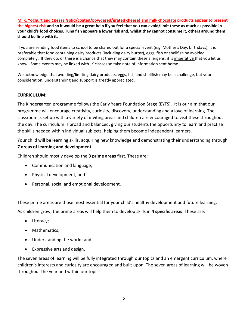**Milk, Yoghurt and** *Cheese (***solid/coated/powdered/grated cheese) and milk chocolate products appear to present the highest risk and so it would be a great help if you feel that you can avoid/limit these as much as possible in your child's food choices. Tuna fish appears a lower risk and, whilst they cannot consume it, others around them should be fine with it.**

If you are sending food items to school to be shared out for a special event (e.g. Mother's Day, birthdays), it is preferable that food containing dairy products (including dairy butter), eggs, fish or shellfish be avoided completely. If they do, or there is a chance that they may contain these allergens, it is imperative that you let us know. Some events may be linked with JK classes so take note of information sent home.

We acknowledge that avoiding/limiting dairy products, eggs, fish and shellfish may be a challenge, but your consideration, understanding and support is greatly appreciated.

#### **CURRICULUM:**

The Kindergarten programme follows the Early Years Foundation Stage (EYFS). It is our aim that our programme will encourage creativity, curiosity, discovery, understanding and a love of learning. The classroom is set up with a variety of inviting areas and children are encouraged to visit these throughout the day. The curriculum is broad and balanced, giving our students the opportunity to learn and practise the skills needed within individual subjects, helping them become independent learners.

Your child will be learning skills, acquiring new knowledge and demonstrating their understanding through **7 areas of learning and development**.

Children should mostly develop the **3 prime areas** first. These are:

- Communication and language;
- Physical development; and
- Personal, social and emotional development.

These prime areas are those most essential for your child's healthy development and future learning.

As children grow, the prime areas will help them to develop skills in **4 specific areas**. These are:

- Literacy;
- Mathematics;
- Understanding the world; and
- Expressive arts and design.

The seven areas of learning will be fully integrated through our topics and an emergent curriculum, where children's interests and curiosity are encouraged and built upon. The seven areas of learning will be woven throughout the year and within our topics.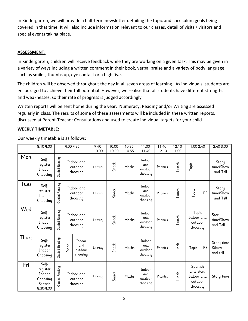In Kindergarten, we will provide a half-term newsletter detailing the topic and curriculum goals being covered in that time. It will also include information relevant to our classes, detail of visits / visitors and special events taking place.

#### **ASSESSMENT:**

In Kindergarten, children will receive feedback while they are working on a given task. This may be given in a variety of ways including a written comment in their book, verbal praise and a variety of body language such as smiles, thumbs up, eye contact or a high five.

The children will be observed throughout the day in all seven areas of learning. As individuals, students are encouraged to achieve their full potential. However, we realise that all students have different strengths and weaknesses, so their rate of progress is judged accordingly.

Written reports will be sent home during the year. Numeracy, Reading and/or Writing are assessed regularly in class. The results of some of these assessments will be included in these written reports, discussed at Parent-Teacher Consultations and used to create individual targets for your child.

#### **WEEKLY TIMETABLE:**

Our weekly timetable is as follows:

|       | 8.10-9.00                                                       |                       | 9.00-9.35                         |                                      | $9.40 -$<br>10.00 | 10.00-<br>10.30 | 10.35-<br>10.55 | 11.00-<br>11.40                      | 11.40-<br>12.10 | 12.10-<br>1.00 | 1.00-2.40                                                 |    | 2.40-3.00                       |
|-------|-----------------------------------------------------------------|-----------------------|-----------------------------------|--------------------------------------|-------------------|-----------------|-----------------|--------------------------------------|-----------------|----------------|-----------------------------------------------------------|----|---------------------------------|
| Mon   | Self-<br>register<br>Indoor<br>Choosing                         | <b>Guided Reading</b> | Indoor and<br>outdoor<br>choosing |                                      | Literacy          | <b>Snack</b>    | Maths           | Indoor<br>and<br>outdoor<br>choosing | Phonics         | Lunch          | Topic                                                     |    | Story<br>time/Show<br>and Tell  |
| Tues  | Self-<br>register<br>Indoor<br>Choosing                         | <b>Guided Reading</b> | Indoor and<br>outdoor<br>choosing |                                      | Literacy          | <b>Snack</b>    | Maths           | Indoor<br>and<br>outdoor<br>choosing | Phonics         | Lunch          | Topic                                                     | PE | Story<br>time/Show<br>and Tell  |
| Wed   | Self-<br>register<br>Indoor<br>Choosing                         | <b>Guided Reading</b> | Indoor and<br>outdoor<br>choosing |                                      | Literacy          | Snack           | Maths           | Indoor<br>and<br>outdoor<br>choosing | Phonics         | Lunch          | Topic<br>Indoor and<br>outdoor<br>choosing                |    | Story<br>time/Show<br>and Tell  |
| Thurs | Self-<br>register<br>Indoor<br>Choosing                         | <b>Guided Reading</b> | Yoga                              | Indoor<br>and<br>outdoor<br>choosing | Literacy          | Snack           | Maths           | Indoor<br>and<br>outdoor<br>choosing | Phonics         | Lunch          | Topic                                                     | PE | Story time<br>/Show<br>and tell |
| Fri   | Self-<br>register<br>Indoor<br>Choosing<br>Spanish<br>8.30-9.00 | Reading<br>Guided F   | Indoor and<br>outdoor<br>choosing |                                      | Literacy          | Snack           | Maths           | Indoor<br>and<br>outdoor<br>choosing | Phonics         | Lunch          | Spanish<br>Emersion/<br>Indoor and<br>outdoor<br>choosing |    | Story time                      |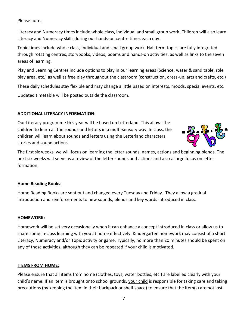#### Please note:

Literacy and Numeracy times include whole class, individual and small group work. Children will also learn Literacy and Numeracy skills during our hands-on centre times each day.

Topic times include whole class, individual and small group work. Half term topics are fully integrated through rotating centres, storybooks, videos, poems and hands-on activities, as well as links to the seven areas of learning.

Play and Learning Centres include options to play in our learning areas (Science, water & sand table, role play area, etc.) as well as free play throughout the classroom (construction, dress-up, arts and crafts, etc.)

These daily schedules stay flexible and may change a little based on interests, moods, special events, etc.

Updated timetable will be posted outside the classroom.

#### **ADDITIONAL LITERACY INFORMATION:**

Our Literacy programme this year will be based on Letterland. This allows the children to learn all the sounds and letters in a multi-sensory way. In class, the children will learn about sounds and letters using the Letterland characters, stories and sound actions.



The first six weeks, we will focus on learning the letter sounds, names, actions and beginning blends. The next six weeks will serve as a review of the letter sounds and actions and also a large focus on letter formation.

#### **Home Reading Books:**

Home Reading Books are sent out and changed every Tuesday and Friday. They allow a gradual introduction and reinforcements to new sounds, blends and key words introduced in class.

#### **HOMEWORK:**

Homework will be set very occasionally when it can enhance a concept introduced in class or allow us to share some in-class learning with you at home effectively. Kindergarten homework may consist of a short Literacy, Numeracy and/or Topic activity or game. Typically, no more than 20 minutes should be spent on any of these activities, although they can be repeated if your child is motivated.

#### **ITEMS FROM HOME:**

Please ensure that all items from home (clothes, toys, water bottles, etc.) are labelled clearly with your child's name. If an item is brought onto school grounds, your child is responsible for taking care and taking precautions (by keeping the item in their backpack or shelf space) to ensure that the item(s) are not lost.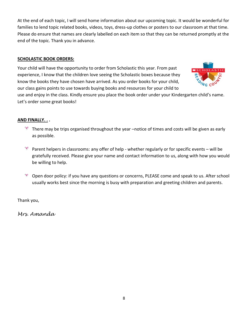At the end of each topic, I will send home information about our upcoming topic. It would be wonderful for families to lend topic related books, videos, toys, dress-up clothes or posters to our classroom at that time. Please do ensure that names are clearly labelled on each item so that they can be returned promptly at the end of the topic. Thank you in advance.

#### **SCHOLASTIC BOOK ORDERS:**

Your child will have the opportunity to order from Scholastic this year. From past experience, I know that the children love seeing the Scholastic boxes because they know the books they have chosen have arrived. As you order books for your child, our class gains points to use towards buying books and resources for your child to



use and enjoy in the class. Kindly ensure you place the book order under your Kindergarten child's name. Let's order some great books!

#### **AND FINALLY. . .**

- $*$  There may be trips organised throughout the year –notice of times and costs will be given as early as possible.
- Parent helpers in classrooms: any offer of help - whether regularly or for specific events – will be gratefully received. Please give your name and contact information to us, along with how you would be willing to help.
- **Commands 10 Septem 20 Arts 20 Septem 20 Septem** Speak to us. After school usually works best since the morning is busy with preparation and greeting children and parents.

Thank you,

*Mrs. Amanda*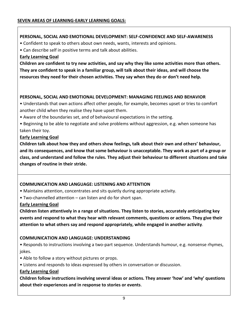#### **PERSONAL, SOCIAL AND EMOTIONAL DEVELOPMENT: SELF-CONFIDENCE AND SELF-AWARENESS**

• Confident to speak to others about own needs, wants, interests and opinions.

• Can describe self in positive terms and talk about abilities.

#### **Early Learning Goal**

**Children are confident to try new activities, and say why they like some activities more than others. They are confident to speak in a familiar group, will talk about their ideas, and will choose the resources they need for their chosen activities. They say when they do or don't need help.**

### **PERSONAL, SOCIAL AND EMOTIONAL DEVELOPMENT: MANAGING FEELINGS AND BEHAVIOR**

• Understands that own actions affect other people, for example, becomes upset or tries to comfort another child when they realise they have upset them.

• Aware of the boundaries set, and of behavioural expectations in the setting.

• Beginning to be able to negotiate and solve problems without aggression, e.g. when someone has taken their toy.

#### **Early Learning Goal**

**Children talk about how they and others show feelings, talk about their own and others' behaviour, and its consequences, and know that some behaviour is unacceptable. They work as part of a group or class, and understand and follow the rules. They adjust their behaviour to different situations and take changes of routine in their stride.**

### **COMMUNICATION AND LANGUAGE: LISTENING AND ATTENTION**

• Maintains attention, concentrates and sits quietly during appropriate activity.

• Two-channelled attention – can listen and do for short span.

### **Early Learning Goal**

**Children listen attentively in a range of situations. They listen to stories, accurately anticipating key events and respond to what they hear with relevant comments, questions or actions. They give their attention to what others say and respond appropriately, while engaged in another activity**.

### **COMMUNICATION AND LANGUAGE: UNDERSTANDING**

• Responds to instructions involving a two-part sequence. Understands humour, e.g. nonsense rhymes, jokes.

- Able to follow a story without pictures or props.
- Listens and responds to ideas expressed by others in conversation or discussion.

### **Early Learning Goal**

**Children follow instructions involving several ideas or actions. They answer 'how' and 'why' questions about their experiences and in response to stories or events**.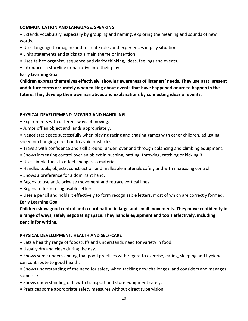### **COMMUNICATION AND LANGUAGE: SPEAKING**

• Extends vocabulary, especially by grouping and naming, exploring the meaning and sounds of new words.

- Uses language to imagine and recreate roles and experiences in play situations.
- Links statements and sticks to a main theme or intention.
- Uses talk to organise, sequence and clarify thinking, ideas, feelings and events.
- Introduces a storyline or narrative into their play.

# **Early Learning Goal**

**Children express themselves effectively, showing awareness of listeners' needs. They use past, present and future forms accurately when talking about events that have happened or are to happen in the future. They develop their own narratives and explanations by connecting ideas or events.**

# **PHYSICAL DEVELOPMENT: MOVING AND HANDLING**

- Experiments with different ways of moving.
- Jumps off an object and lands appropriately.
- Negotiates space successfully when playing racing and chasing games with other children, adjusting speed or changing direction to avoid obstacles.
- Travels with confidence and skill around, under, over and through balancing and climbing equipment.
- Shows increasing control over an object in pushing, patting, throwing, catching or kicking it.
- Uses simple tools to effect changes to materials.
- Handles tools, objects, construction and malleable materials safely and with increasing control.
- Shows a preference for a dominant hand.
- Begins to use anticlockwise movement and retrace vertical lines.
- Begins to form recognisable letters.
- Uses a pencil and holds it effectively to form recognisable letters, most of which are correctly formed. **Early Learning Goal**

**Children show good control and co-ordination in large and small movements. They move confidently in a range of ways, safely negotiating space. They handle equipment and tools effectively, including pencils for writing.**

# **PHYSICAL DEVELOPMENT: HEALTH AND SELF-CARE**

- Eats a healthy range of foodstuffs and understands need for variety in food.
- Usually dry and clean during the day.
- Shows some understanding that good practices with regard to exercise, eating, sleeping and hygiene can contribute to good health.
- Shows understanding of the need for safety when tackling new challenges, and considers and manages some risks.
- Shows understanding of how to transport and store equipment safely.
- Practices some appropriate safety measures without direct supervision.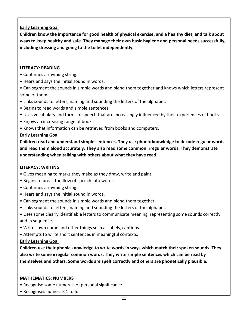# **Early Learning Goal**

**Children know the importance for good health of physical exercise, and a healthy diet, and talk about ways to keep healthy and safe. They manage their own basic hygiene and personal needs successfully, including dressing and going to the toilet independently.**

### **LITERACY: READING**

- Continues a rhyming string.
- Hears and says the initial sound in words.
- Can segment the sounds in simple words and blend them together and knows which letters represent some of them.
- Links sounds to letters, naming and sounding the letters of the alphabet.
- Begins to read words and simple sentences.
- Uses vocabulary and forms of speech that are increasingly influenced by their experiences of books.
- Enjoys an increasing range of books.
- Knows that information can be retrieved from books and computers.

# **Early Learning Goal**

**Children read and understand simple sentences. They use phonic knowledge to decode regular words and read them aloud accurately. They also read some common irregular words. They demonstrate understanding when talking with others about what they have read.**

### **LITERACY: WRITING**

- Gives meaning to marks they make as they draw, write and paint.
- Begins to break the flow of speech into words.
- Continues a rhyming string.
- Hears and says the initial sound in words.
- Can segment the sounds in simple words and blend them together.
- Links sounds to letters, naming and sounding the letters of the alphabet.
- Uses some clearly identifiable letters to communicate meaning, representing some sounds correctly and in sequence.
- Writes own name and other things such as labels, captions.
- Attempts to write short sentences in meaningful contexts.

### **Early Learning Goal**

**Children use their phonic knowledge to write words in ways which match their spoken sounds. They also write some irregular common words. They write simple sentences which can be read by themselves and others. Some words are spelt correctly and others are phonetically plausible.**

### **MATHEMATICS: NUMBERS**

- Recognise some numerals of personal significance.
- Recognises numerals 1 to 5.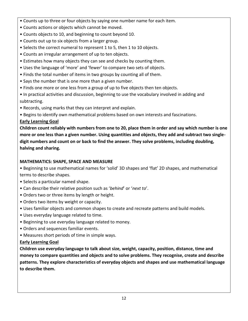- Counts up to three or four objects by saying one number name for each item.
- Counts actions or objects which cannot be moved.
- Counts objects to 10, and beginning to count beyond 10.
- Counts out up to six objects from a larger group.
- Selects the correct numeral to represent 1 to 5, then 1 to 10 objects.
- Counts an irregular arrangement of up to ten objects.
- Estimates how many objects they can see and checks by counting them.
- Uses the language of 'more' and 'fewer' to compare two sets of objects.
- Finds the total number of items in two groups by counting all of them.
- Says the number that is one more than a given number.
- Finds one more or one less from a group of up to five objects then ten objects.
- In practical activities and discussion, beginning to use the vocabulary involved in adding and subtracting.
- Records, using marks that they can interpret and explain.
- Begins to identify own mathematical problems based on own interests and fascinations.

# **Early Learning Goal**

**Children count reliably with numbers from one to 20, place them in order and say which number is one more or one less than a given number. Using quantities and objects, they add and subtract two singledigit numbers and count on or back to find the answer. They solve problems, including doubling, halving and sharing.**

# **MATHEMATICS: SHAPE, SPACE AND MEASURE**

• Beginning to use mathematical names for 'solid' 3D shapes and 'flat' 2D shapes, and mathematical terms to describe shapes.

- Selects a particular named shape.
- Can describe their relative position such as '*behind*' or '*next to*'.
- Orders two or three items by length or height.
- Orders two items by weight or capacity.
- Uses familiar objects and common shapes to create and recreate patterns and build models.
- Uses everyday language related to time.
- Beginning to use everyday language related to money.
- Orders and sequences familiar events.
- Measures short periods of time in simple ways.

# **Early Learning Goal**

**Children use everyday language to talk about size, weight, capacity, position, distance, time and money to compare quantities and objects and to solve problems. They recognise, create and describe patterns. They explore characteristics of everyday objects and shapes and use mathematical language to describe them.**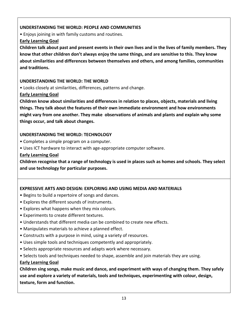# **UNDERSTANDING THE WORLD: PEOPLE AND COMMUNITIES**

• Enjoys joining in with family customs and routines.

**Early Learning Goal**

**Children talk about past and present events in their own lives and in the lives of family members. They know that other children don't always enjoy the same things, and are sensitive to this. They know about similarities and differences between themselves and others, and among families, communities and traditions.**

# **UNDERSTANDING THE WORLD: THE WORLD**

• Looks closely at similarities, differences, patterns and change.

**Early Learning Goal**

**Children know about similarities and differences in relation to places, objects, materials and living things. They talk about the features of their own immediate environment and how environments might vary from one another. They make observations of animals and plants and explain why some things occur, and talk about changes.**

# **UNDERSTANDING THE WORLD: TECHNOLOGY**

- Completes a simple program on a computer.
- Uses ICT hardware to interact with age-appropriate computer software.

# **Early Learning Goal**

**Children recognise that a range of technology is used in places such as homes and schools. They select and use technology for particular purposes.**

# **EXPRESSIVE ARTS AND DESIGN: EXPLORING AND USING MEDIA AND MATERIALS**

- Begins to build a repertoire of songs and dances.
- Explores the different sounds of instruments.
- Explores what happens when they mix colours.
- Experiments to create different textures.
- Understands that different media can be combined to create new effects.
- Manipulates materials to achieve a planned effect.
- Constructs with a purpose in mind, using a variety of resources.
- Uses simple tools and techniques competently and appropriately.
- Selects appropriate resources and adapts work where necessary.
- Selects tools and techniques needed to shape, assemble and join materials they are using.

# **Early Learning Goal**

**Children sing songs, make music and dance, and experiment with ways of changing them. They safely use and explore a variety of materials, tools and techniques, experimenting with colour, design, texture, form and function.**